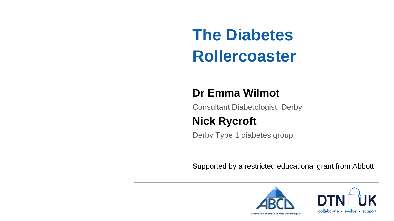Supported by a restricted educational grant from Abbott **The Diabetes Rollercoaster Dr Emma Wilmot** Consultant Diabetologist, Derby **Nick Rycroft** Derby Type 1 diabetes group





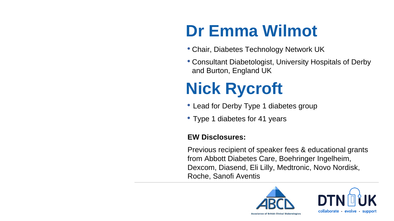**Dr Emma Wilmot** • Chair, Diabetes Technology Network UK • Consultant Diabetologist, University Hospitals of Derby and Burton, England UK **Nick Rycroft EW Disclosures:** Previous recipient of speaker fees & educational grants from Abbott Diabetes Care, Boehringer Ingelheim, Dexcom, Diasend, Eli Lilly, Medtronic, Novo Nordisk, Roche, Sanofi Aventis • Lead for Derby Type 1 diabetes group • Type 1 diabetes for 41 years

- 
- 

- 
- 



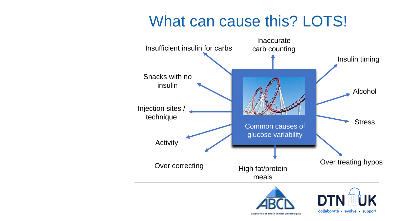Over correcting



**Association of British Clinical Diabetologists** 

## What can cause this? LOTS!

Snacks with no insulin

Injection sites /

Activity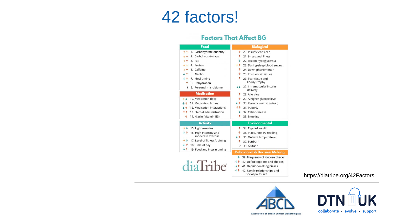diaTribe

## 42 factors!

## **Factors That Affect BG**

### Food ↑↑ 1. Carbohydrate quantity → ↑ 2. Carbohydrate type  $\rightarrow \uparrow$  3. Fat  $\rightarrow$  1. Protein  $\rightarrow$  1 5. Caffeine  $\downarrow$   $\uparrow$  6. Alcohol  $\downarrow$   $\uparrow$  7. Meal timing ↑ 8. Dehydration ? 9. Personal microbiome **Medication**  $\rightarrow \downarrow$  10. Medication dose

- $\downarrow$  **↑** 11. Medication timing
- $\downarrow$  12. Medication interactions
- ↑↑ 13. Steroid administration
- 14. Niacin (Vitamin B3)

### **Activity**

- $\rightarrow \downarrow$  15. Light exercise
- $\sqrt{16}$ . High-intensity and moderate exercise
- $\rightarrow \sqrt{ }$  17. Level of fitness/training
- $\sqrt[4]{\uparrow}$  18. Time of day
- $\sqrt[4]{\uparrow}$  19. Food and insulin timing

## **Biological**

- ↑ 20. Insufficient sleep
- $\uparrow$  21. Stress and illness
- $\downarrow$  22. Recent hypoglycemia
- → ↑ 23. During-sleep blood sugars
- ↑ 24. Dawn phenomenon
- ↑ 25. Infusion set issues
- 1 26. Scar tissue and lipodystrophy
- ↓↓ 27. Intramuscular insulin delivery
- 1 28. Allergies
- ↑ 29. A higher glucose level
- $\sqrt{T}$  30. Periods (menstruation)
- ↑↑ 31. Puberty
- $\downarrow$  32. Celiac disease
- 1 33. Smoking

### **Environmental**

- ↑ 34. Expired insulin
- ↑ 35. Inaccurate BG reading
- $\sqrt{\Upsilon}$  36. Outside temperature
- 1 37. Sunburn
- ? 38. Altitude

### **Behavioral & Decision Making**

- $\downarrow$  39. Frequency of glucose checks
- $\downarrow \uparrow$  40. Default options and choices
- $\sqrt{\Upsilon}$  41. Decision-making biases
- $\downarrow \uparrow$  42. Family relationships and social pressures

## https://diatribe.org/42Factors



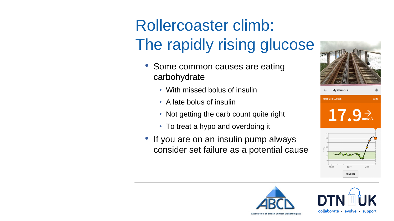# Rollercoaster climb: The rapidly rising glucose

- Some common causes are eating carbohydrate
	- With missed bolus of insulin
	- A late bolus of insulin
	- Not getting the carb count quite right
	- To treat a hypo and overdoing it
- If you are on an insulin pump always consider set failure as a potential cause







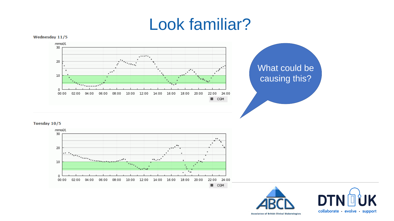### Wednesday 11/5



Tuesday 10/5



## Look familiar?

## What could be causing this?



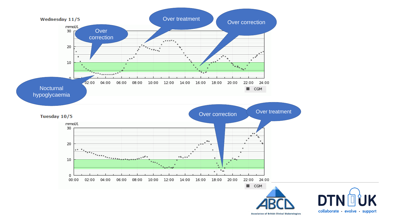

Tuesday 10/5



**Association of British Clinical Diabetologists**